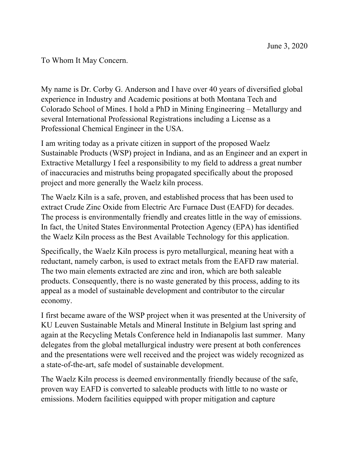To Whom It May Concern.

My name is Dr. Corby G. Anderson and I have over 40 years of diversified global experience in Industry and Academic positions at both Montana Tech and Colorado School of Mines. I hold a PhD in Mining Engineering – Metallurgy and several International Professional Registrations including a License as a Professional Chemical Engineer in the USA.

I am writing today as a private citizen in support of the proposed Waelz Sustainable Products (WSP) project in Indiana, and as an Engineer and an expert in Extractive Metallurgy I feel a responsibility to my field to address a great number of inaccuracies and mistruths being propagated specifically about the proposed project and more generally the Waelz kiln process.

The Waelz Kiln is a safe, proven, and established process that has been used to extract Crude Zinc Oxide from Electric Arc Furnace Dust (EAFD) for decades. The process is environmentally friendly and creates little in the way of emissions. In fact, the United States Environmental Protection Agency (EPA) has identified the Waelz Kiln process as the Best Available Technology for this application.

Specifically, the Waelz Kiln process is pyro metallurgical, meaning heat with a reductant, namely carbon, is used to extract metals from the EAFD raw material. The two main elements extracted are zinc and iron, which are both saleable products. Consequently, there is no waste generated by this process, adding to its appeal as a model of sustainable development and contributor to the circular economy.

I first became aware of the WSP project when it was presented at the University of KU Leuven Sustainable Metals and Mineral Institute in Belgium last spring and again at the Recycling Metals Conference held in Indianapolis last summer. Many delegates from the global metallurgical industry were present at both conferences and the presentations were well received and the project was widely recognized as a state-of-the-art, safe model of sustainable development.

The Waelz Kiln process is deemed environmentally friendly because of the safe, proven way EAFD is converted to saleable products with little to no waste or emissions. Modern facilities equipped with proper mitigation and capture